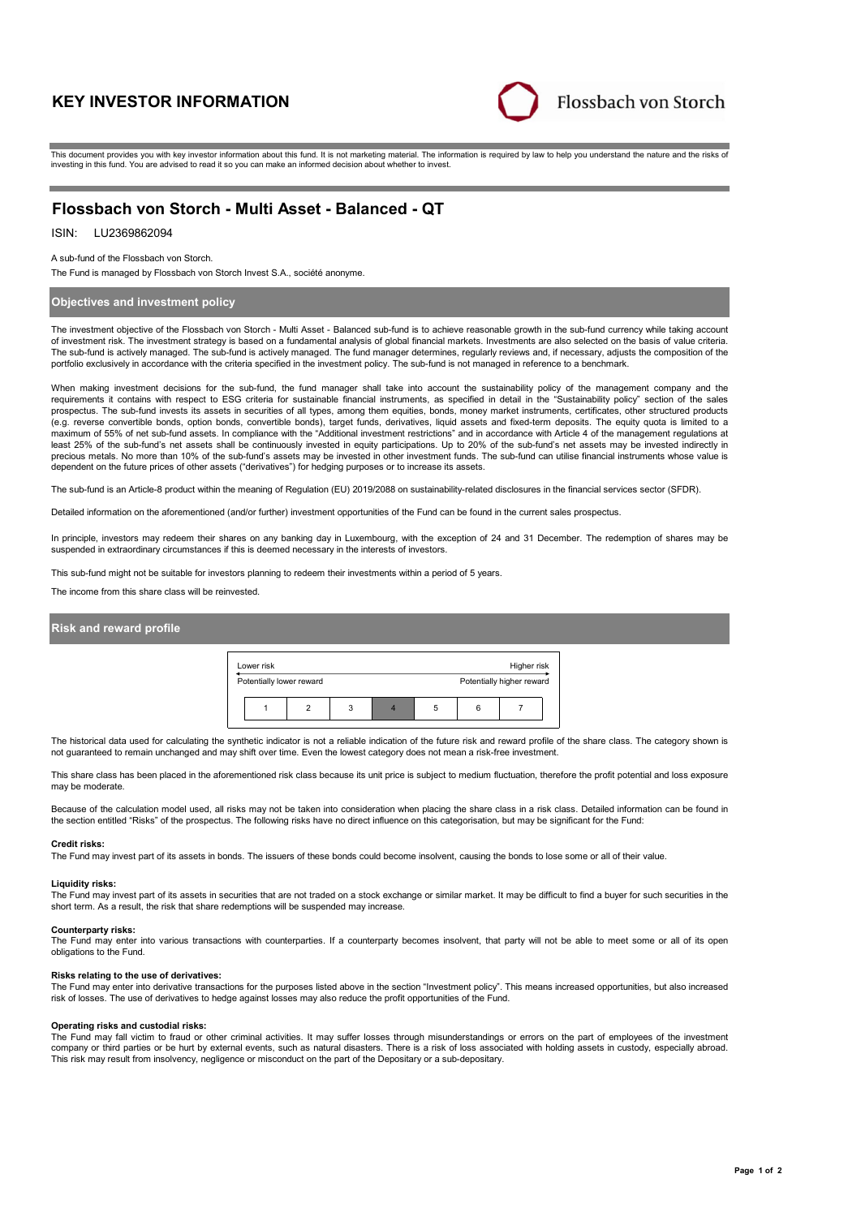# **KEY INVESTOR INFORMATION**



This document provides you with key investor information about this fund. It is not marketing material. The information is required by law to help you understand the nature and the risks of investing in this fund. You are advised to read it so you can make an informed decision about whether to invest.

# **Flossbach von Storch - Multi Asset - Balanced - QT**

#### LU2369862094 ISIN:

A sub-fund of the Flossbach von Storch.

The Fund is managed by Flossbach von Storch Invest S.A., société anonyme.

# **Objectives and investment policy**

The investment objective of the Flossbach von Storch - Multi Asset - Balanced sub-fund is to achieve reasonable growth in the sub-fund currency while taking account of investment risk. The investment strategy is based on a fundamental analysis of global financial markets. Investments are also selected on the basis of value criteria. The sub-fund is actively managed. The sub-fund is actively managed. The fund manager determines, regularly reviews and, if necessary, adjusts the composition of the portfolio exclusively in accordance with the criteria specified in the investment policy. The sub-fund is not managed in reference to a benchmark.

When making investment decisions for the sub-fund, the fund manager shall take into account the sustainability policy of the management company and the requirements it contains with respect to ESG criteria for sustainable financial instruments, as specified in detail in the "Sustainability policy" section of the sales<br>prospectus. The sub-fund invests its assets in securit (e.g. reverse convertible bonds, option bonds, convertible bonds), target funds, derivatives, liquid assets and fixed-term deposits. The equity quota is limited to a maximum of 55% of net sub-fund assets. In compliance with the "Additional investment restrictions" and in accordance with Article 4 of the management regulations at least 25% of the sub-fund's net assets shall be continuously invested in equity participations. Up to 20% of the sub-fund's net assets may be invested indirectly in precious metals. No more than 10% of the sub-fund's assets may be invested in other investment funds. The sub-fund can utilise financial instruments whose value is<br>dependent on the future prices of other assets ("derivativ

The sub-fund is an Article-8 product within the meaning of Regulation (EU) 2019/2088 on sustainability-related disclosures in the financial services sector (SFDR).

Detailed information on the aforementioned (and/or further) investment opportunities of the Fund can be found in the current sales prospectus.

In principle, investors may redeem their shares on any banking day in Luxembourg, with the exception of 24 and 31 December. The redemption of shares may be suspended in extraordinary circumstances if this is deemed necessary in the interests of investors.

This sub-fund might not be suitable for investors planning to redeem their investments within a period of 5 years.

The income from this share class will be reinvested.

# **Risk and reward profile**



The historical data used for calculating the synthetic indicator is not a reliable indication of the future risk and reward profile of the share class. The category shown is not guaranteed to remain unchanged and may shift over time. Even the lowest category does not mean a risk-free investment.

This share class has been placed in the aforementioned risk class because its unit price is subject to medium fluctuation, therefore the profit potential and loss exposure may be moderate

Because of the calculation model used, all risks may not be taken into consideration when placing the share class in a risk class. Detailed information can be found in the section entitled "Risks" of the prospectus. The following risks have no direct influence on this categorisation, but may be significant for the Fund:

## **Credit risks:**

The Fund may invest part of its assets in bonds. The issuers of these bonds could become insolvent, causing the bonds to lose some or all of their value.

## **Liquidity risks:**

The Fund may invest part of its assets in securities that are not traded on a stock exchange or similar market. It may be difficult to find a buyer for such securities in the short term. As a result, the risk that share redemptions will be suspended may increase.

#### **Counterparty risks:**

The Fund may enter into various transactions with counterparties. If a counterparty becomes insolvent, that party will not be able to meet some or all of its open obligations to the Fund.

#### **Risks relating to the use of derivatives:**

The Fund may enter into derivative transactions for the purposes listed above in the section "Investment policy". This means increased opportunities, but also increased risk of losses. The use of derivatives to hedge against losses may also reduce the profit opportunities of the Fund.

### **Operating risks and custodial risks:**

The Fund may fall victim to fraud or other criminal activities. It may suffer losses through misunderstandings or errors on the part of employees of the investment company or third parties or be hurt by external events, such as natural disasters. There is a risk of loss associated with holding assets in custody, especially abroad. This risk may result from insolvency, negligence or misconduct on the part of the Depositary or a sub-depositary.